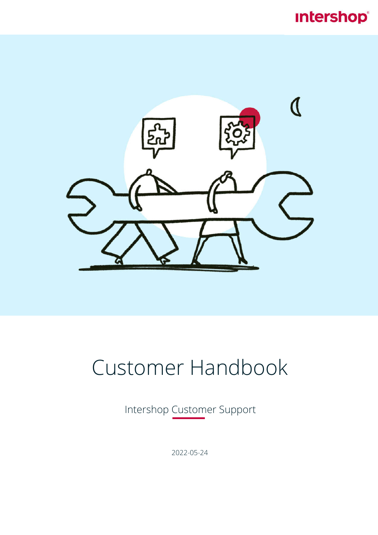# **Intershop®**



# Customer Handbook

Intershop Customer Support

2022-05-24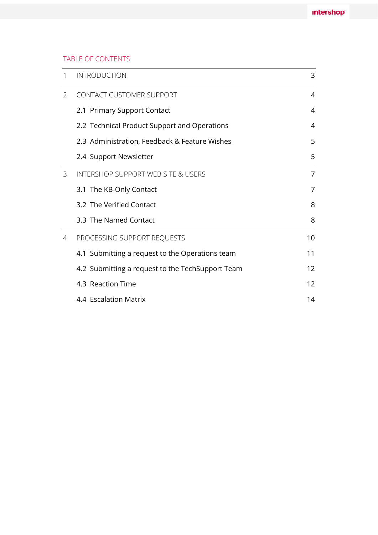#### TABLE OF CONTENTS

| 1              | <b>INTRODUCTION</b>                              | 3  |
|----------------|--------------------------------------------------|----|
| $\overline{2}$ | <b>CONTACT CUSTOMER SUPPORT</b>                  | 4  |
|                | 2.1 Primary Support Contact                      | 4  |
|                | 2.2 Technical Product Support and Operations     | 4  |
|                | 2.3 Administration, Feedback & Feature Wishes    | 5  |
|                | 2.4 Support Newsletter                           | 5  |
| 3              | <b>INTERSHOP SUPPORT WEB SITE &amp; USERS</b>    | 7  |
|                | 3.1 The KB-Only Contact                          | 7  |
|                | 3.2 The Verified Contact                         | 8  |
|                | 3.3 The Named Contact                            | 8  |
| 4              | PROCESSING SUPPORT REQUESTS                      | 10 |
|                | 4.1 Submitting a request to the Operations team  | 11 |
|                | 4.2 Submitting a request to the TechSupport Team | 12 |
|                | 4.3 Reaction Time                                | 12 |
|                | 4.4 Escalation Matrix                            | 14 |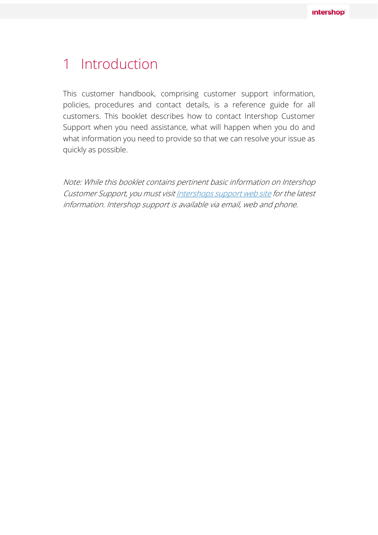# 1 Introduction

This customer handbook, comprising customer support information, policies, procedures and contact details, is a reference guide for all customers. This booklet describes how to contact Intershop Customer Support when you need assistance, what will happen when you do and what information you need to provide so that we can resolve your issue as quickly as possible.

Note: While this booklet contains pertinent basic information on Intershop Customer Support, you must visit Intershops support web site for the latest information. Intershop support is available via email, web and phone.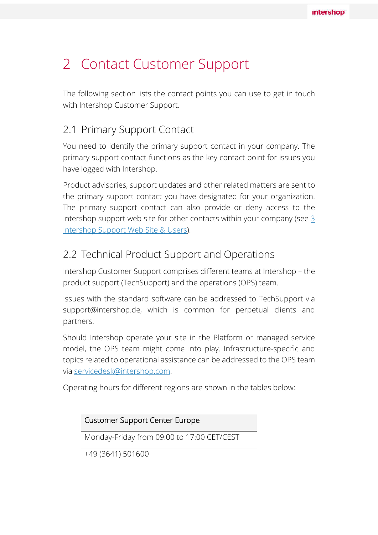# 2 Contact Customer Support

The following section lists the contact points you can use to get in touch with Intershop Customer Support.

### 2.1 Primary Support Contact

You need to identify the primary support contact in your company. The primary support contact functions as the key contact point for issues you have logged with Intershop.

Product advisories, support updates and other related matters are sent to the primary support contact you have designated for your organization. The primary support contact can also provide or deny access to the Intershop support web site for other contacts within your company (see 3 Intershop Support Web Site & Users).

### 2.2 Technical Product Support and Operations

Intershop Customer Support comprises different teams at Intershop – the product support (TechSupport) and the operations (OPS) team.

Issues with the standard software can be addressed to TechSupport via support@intershop.de, which is common for perpetual clients and partners.

Should Intershop operate your site in the Platform or managed service model, the OPS team might come into play. Infrastructure-specific and topics related to operational assistance can be addressed to the OPS team via servicedesk@intershop.com.

Operating hours for different regions are shown in the tables below:

| <b>Customer Support Center Europe</b>      |  |  |  |
|--------------------------------------------|--|--|--|
| Monday-Friday from 09:00 to 17:00 CET/CEST |  |  |  |
| +49 (3641) 501600                          |  |  |  |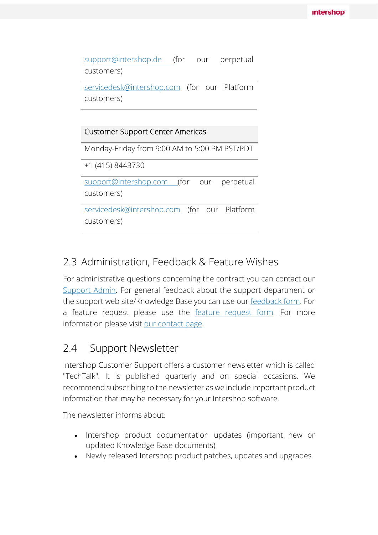support@intershop.de (for our perpetual customers)

servicedesk@intershop.com (for our Platform customers)

#### Customer Support Center Americas

Monday-Friday from 9:00 AM to 5:00 PM PST/PDT

+1 (415) 8443730

support@intershop.com (for our perpetual customers)

servicedesk@intershop.com (for our Platform customers)

### 2.3 Administration, Feedback & Feature Wishes

For administrative questions concerning the contract you can contact our Support Admin. For general feedback about the support department or the support web site/Knowledge Base you can use our feedback form. For a feature request please use the feature request form. For more information please visit our contact page.

### 2.4 Support Newsletter

Intershop Customer Support offers a customer newsletter which is called "TechTalk". It is published quarterly and on special occasions. We recommend subscribing to the newsletter as we include important product information that may be necessary for your Intershop software.

The newsletter informs about:

- Intershop product documentation updates (important new or updated Knowledge Base documents)
- Newly released Intershop product patches, updates and upgrades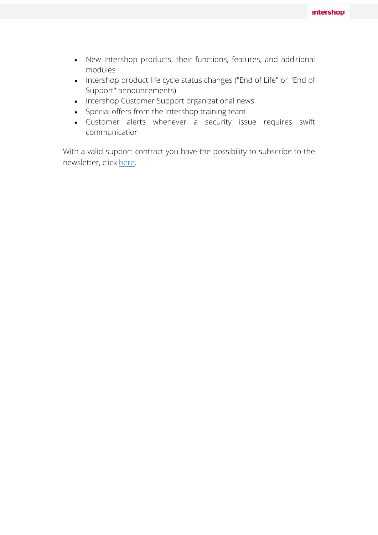- New Intershop products, their functions, features, and additional modules
- Intershop product life cycle status changes ("End of Life" or "End of Support" announcements)
- Intershop Customer Support organizational news
- Special offers from the Intershop training team
- Customer alerts whenever a security issue requires swift communication

With a valid support contract you have the possibility to subscribe to the newsletter, click here.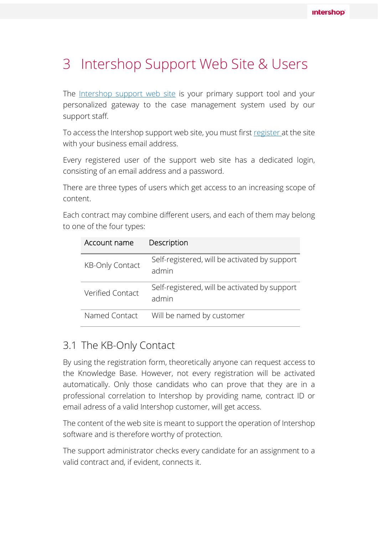# 3 Intershop Support Web Site & Users

The Intershop support web site is your primary support tool and your personalized gateway to the case management system used by our support staff.

To access the Intershop support web site, you must first register at the site with your business email address.

Every registered user of the support web site has a dedicated login, consisting of an email address and a password.

There are three types of users which get access to an increasing scope of content.

Each contract may combine different users, and each of them may belong to one of the four types:

| Account name           | Description                                            |
|------------------------|--------------------------------------------------------|
| <b>KB-Only Contact</b> | Self-registered, will be activated by support<br>admin |
| Verified Contact       | Self-registered, will be activated by support<br>admin |
| Named Contact          | Will be named by customer                              |

### 3.1 The KB-Only Contact

By using the registration form, theoretically anyone can request access to the Knowledge Base. However, not every registration will be activated automatically. Only those candidats who can prove that they are in a professional correlation to Intershop by providing name, contract ID or email adress of a valid Intershop customer, will get access.

The content of the web site is meant to support the operation of Intershop software and is therefore worthy of protection.

The support administrator checks every candidate for an assignment to a valid contract and, if evident, connects it.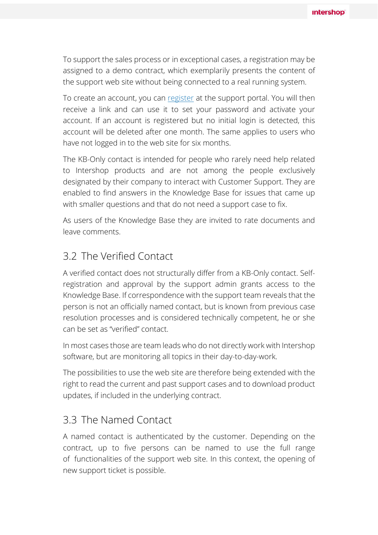To support the sales process or in exceptional cases, a registration may be assigned to a demo contract, which exemplarily presents the content of the support web site without being connected to a real running system.

To create an account, you can register at the support portal. You will then receive a link and can use it to set your password and activate your account. If an account is registered but no initial login is detected, this account will be deleted after one month. The same applies to users who have not logged in to the web site for six months.

The KB-Only contact is intended for people who rarely need help related to Intershop products and are not among the people exclusively designated by their company to interact with Customer Support. They are enabled to find answers in the Knowledge Base for issues that came up with smaller questions and that do not need a support case to fix.

As users of the Knowledge Base they are invited to rate documents and leave comments.

### 3.2 The Verified Contact

A verified contact does not structurally differ from a KB-Only contact. Selfregistration and approval by the support admin grants access to the Knowledge Base. If correspondence with the support team reveals that the person is not an officially named contact, but is known from previous case resolution processes and is considered technically competent, he or she can be set as "verified" contact.

In most cases those are team leads who do not directly work with Intershop software, but are monitoring all topics in their day-to-day-work.

The possibilities to use the web site are therefore being extended with the right to read the current and past support cases and to download product updates, if included in the underlying contract.

#### 3.3 The Named Contact

A named contact is authenticated by the customer. Depending on the contract, up to five persons can be named to use the full range of functionalities of the support web site. In this context, the opening of new support ticket is possible.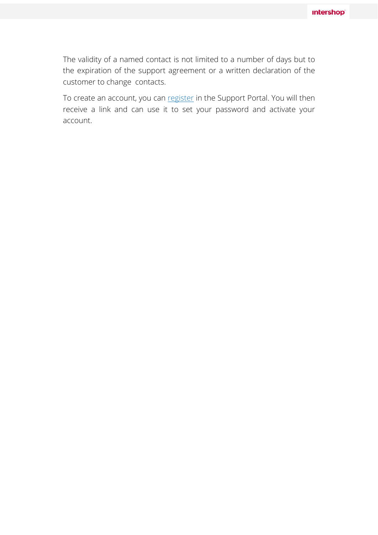The validity of a named contact is not limited to a number of days but to the expiration of the support agreement or a written declaration of the customer to change contacts.

To create an account, you can register in the Support Portal. You will then receive a link and can use it to set your password and activate your account.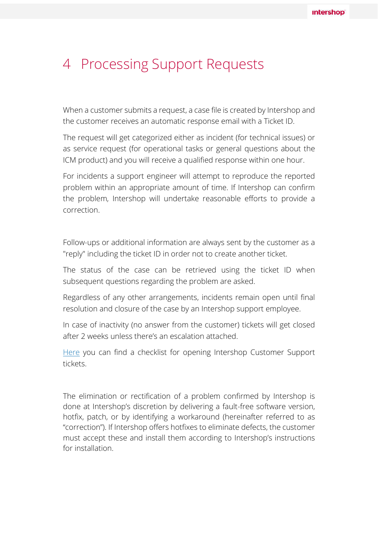## 4 Processing Support Requests

When a customer submits a request, a case file is created by Intershop and the customer receives an automatic response email with a Ticket ID.

The request will get categorized either as incident (for technical issues) or as service request (for operational tasks or general questions about the ICM product) and you will receive a qualified response within one hour.

For incidents a support engineer will attempt to reproduce the reported problem within an appropriate amount of time. If Intershop can confirm the problem, Intershop will undertake reasonable efforts to provide a correction.

Follow-ups or additional information are always sent by the customer as a "reply" including the ticket ID in order not to create another ticket.

The status of the case can be retrieved using the ticket ID when subsequent questions regarding the problem are asked.

Regardless of any other arrangements, incidents remain open until final resolution and closure of the case by an Intershop support employee.

In case of inactivity (no answer from the customer) tickets will get closed after 2 weeks unless there's an escalation attached.

Here you can find a checklist for opening Intershop Customer Support tickets.

The elimination or rectification of a problem confirmed by Intershop is done at Intershop's discretion by delivering a fault-free software version, hotfix, patch, or by identifying a workaround (hereinafter referred to as "correction"). If Intershop offers hotfixes to eliminate defects, the customer must accept these and install them according to Intershop's instructions for installation.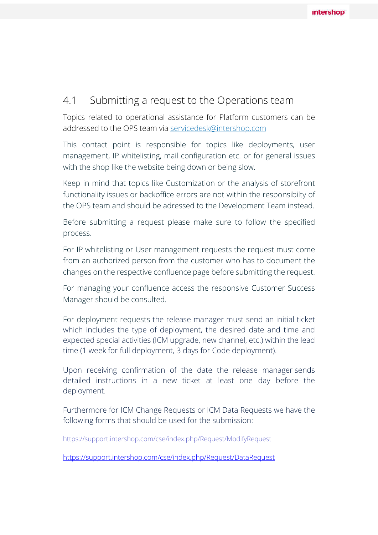#### 4.1 Submitting a request to the Operations team

Topics related to operational assistance for Platform customers can be addressed to the OPS team via servicedesk@intershop.com

This contact point is responsible for topics like deployments, user management, IP whitelisting, mail configuration etc. or for general issues with the shop like the website being down or being slow.

Keep in mind that topics like Customization or the analysis of storefront functionality issues or backoffice errors are not within the responsibilty of the OPS team and should be adressed to the Development Team instead.

Before submitting a request please make sure to follow the specified process.

For IP whitelisting or User management requests the request must come from an authorized person from the customer who has to document the changes on the respective confluence page before submitting the request.

For managing your confluence access the responsive Customer Success Manager should be consulted.

For deployment requests the release manager must send an initial ticket which includes the type of deployment, the desired date and time and expected special activities (ICM upgrade, new channel, etc.) within the lead time (1 week for full deployment, 3 days for Code deployment).

Upon receiving confirmation of the date the release manager sends detailed instructions in a new ticket at least one day before the deployment.

Furthermore for ICM Change Requests or ICM Data Requests we have the following forms that should be used for the submission:

https://support.intershop.com/cse/index.php/Request/ModifyRequest

https://support.intershop.com/cse/index.php/Request/DataRequest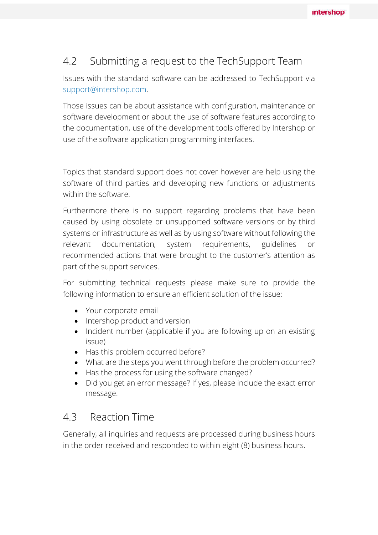### 4.2 Submitting a request to the TechSupport Team

Issues with the standard software can be addressed to TechSupport via support@intershop.com.

Those issues can be about assistance with configuration, maintenance or software development or about the use of software features according to the documentation, use of the development tools offered by Intershop or use of the software application programming interfaces.

Topics that standard support does not cover however are help using the software of third parties and developing new functions or adjustments within the software.

Furthermore there is no support regarding problems that have been caused by using obsolete or unsupported software versions or by third systems or infrastructure as well as by using software without following the relevant documentation, system requirements, guidelines or recommended actions that were brought to the customer's attention as part of the support services.

For submitting technical requests please make sure to provide the following information to ensure an efficient solution of the issue:

- Your corporate email
- Intershop product and version
- Incident number (applicable if you are following up on an existing issue)
- Has this problem occurred before?
- What are the steps you went through before the problem occurred?
- Has the process for using the software changed?
- Did you get an error message? If yes, please include the exact error message.

#### 4.3 Reaction Time

Generally, all inquiries and requests are processed during business hours in the order received and responded to within eight (8) business hours.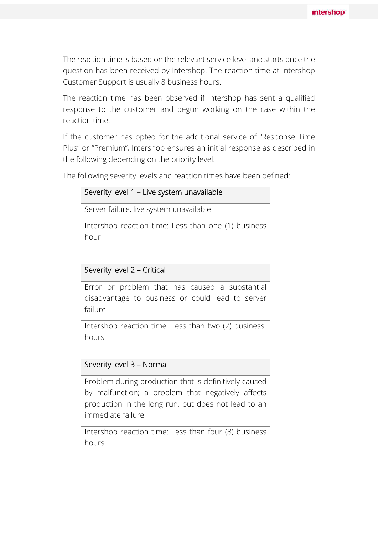The reaction time is based on the relevant service level and starts once the question has been received by Intershop. The reaction time at Intershop Customer Support is usually 8 business hours.

The reaction time has been observed if Intershop has sent a qualified response to the customer and begun working on the case within the reaction time.

If the customer has opted for the additional service of "Response Time Plus" or "Premium", Intershop ensures an initial response as described in the following depending on the priority level.

The following severity levels and reaction times have been defined:

#### Severity level 1 – Live system unavailable

Server failure, live system unavailable

Intershop reaction time: Less than one (1) business hour

#### Severity level 2 – Critical

Error or problem that has caused a substantial disadvantage to business or could lead to server failure

Intershop reaction time: Less than two (2) business hours

#### Severity level 3 – Normal

Problem during production that is definitively caused by malfunction; a problem that negatively affects production in the long run, but does not lead to an immediate failure

Intershop reaction time: Less than four (8) business hours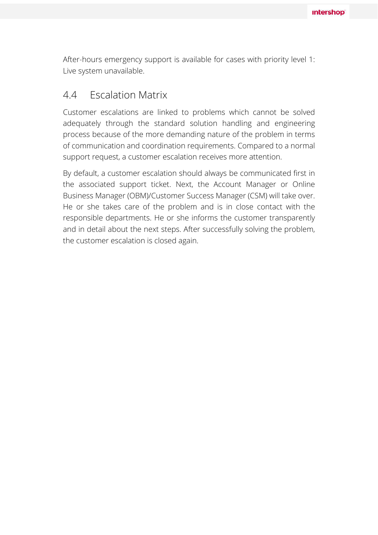After-hours emergency support is available for cases with priority level 1: Live system unavailable.

#### 4.4 Escalation Matrix

Customer escalations are linked to problems which cannot be solved adequately through the standard solution handling and engineering process because of the more demanding nature of the problem in terms of communication and coordination requirements. Compared to a normal support request, a customer escalation receives more attention.

By default, a customer escalation should always be communicated first in the associated support ticket. Next, the Account Manager or Online Business Manager (OBM)/Customer Success Manager (CSM) will take over. He or she takes care of the problem and is in close contact with the responsible departments. He or she informs the customer transparently and in detail about the next steps. After successfully solving the problem, the customer escalation is closed again.